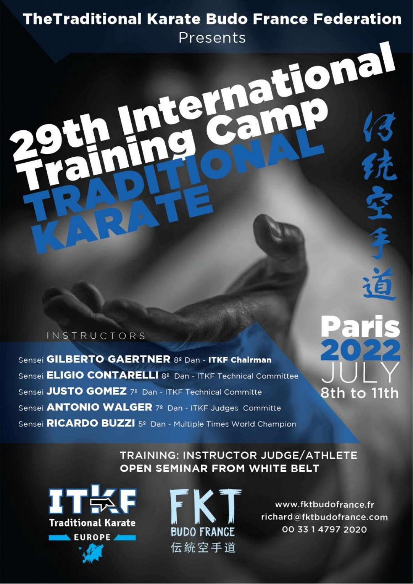### **TheTraditional Karate Budo France Federation**

Presents nternational

### **INSTRUCTORS**

Sensei GILBERTO GAERTNER 82 Dan - ITKF Chairman Sensei **ELIGIO CONTARELLI** 8<sup>2</sup> Dan - ITKF Technical Committee Sensei JUSTO GOMEZ 7º Dan - ITKF Technical Committe Sensei **ANTONIO WALGER** 7º Dan - ITKF Judges Committe Sensei RICARDO BUZZI 5º Dan - Multiple Times World Champion

8th to 11th

### TRAINING: INSTRUCTOR JUDGE/ATHLETE **OPEN SEMINAR FROM WHITE BELT**





www.fktbudofrance.fr richard@fktbudofrance.com 00 33 1 4797 2020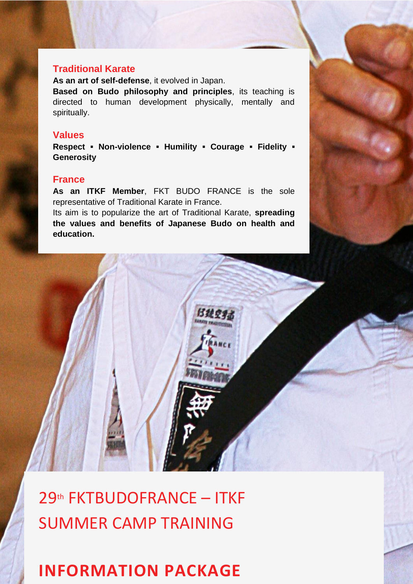#### **Traditional Karate**

**As an art of self-defense**, it evolved in Japan.

**Based on Budo philosophy and principles**, its teaching is directed to human development physically, mentally and spiritually.

#### **Values**

**Respect ▪ Non-violence ▪ Humility ▪ Courage ▪ Fidelity ▪ Generosity**

### **France**

**As an ITKF Member**, FKT BUDO FRANCE is the sole representative of Traditional Karate in France.

Its aim is to popularize the art of Traditional Karate, **spreading the values and benefits of Japanese Budo on health and education.**

は乱空



### **INFORMATION PACKAGE**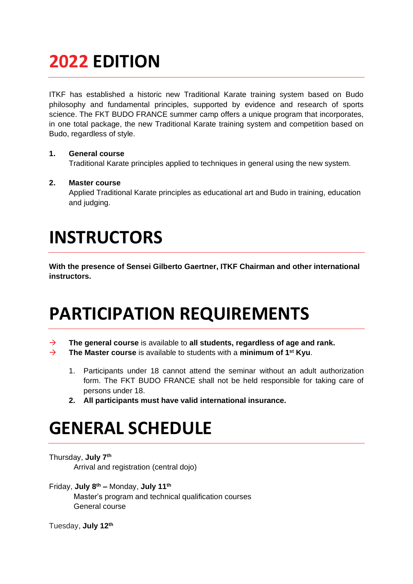# **2022 EDITION**

ITKF has established a historic new Traditional Karate training system based on Budo philosophy and fundamental principles, supported by evidence and research of sports science. The FKT BUDO FRANCE summer camp offers a unique program that incorporates, in one total package, the new Traditional Karate training system and competition based on Budo, regardless of style.

#### **1. General course**

Traditional Karate principles applied to techniques in general using the new system.

#### **2. Master course**

Applied Traditional Karate principles as educational art and Budo in training, education and judging.

## **INSTRUCTORS**

**With the presence of Sensei Gilberto Gaertner, ITKF Chairman and other international instructors.**

## **PARTICIPATION REQUIREMENTS**

- → **The general course** is available to **all students, regardless of age and rank.**
- → **The Master course** is available to students with a **minimum of 1 st Kyu**.
	- 1. Participants under 18 cannot attend the seminar without an adult authorization form. The FKT BUDO FRANCE shall not be held responsible for taking care of persons under 18.
	- **2. All participants must have valid international insurance.**

### **GENERAL SCHEDULE**

Thursday, **July 7th**

Arrival and registration (central dojo)

Friday, **July 8 th –** Monday, **July 11th** Master's program and technical qualification courses General course

Tuesday, **July 12th**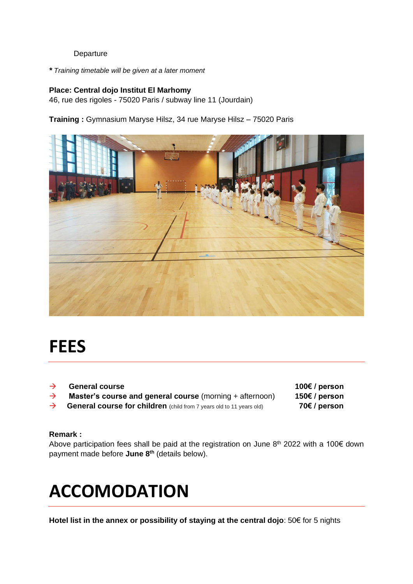#### Departure

*\* Training timetable will be given at a later moment*

#### **Place: Central dojo Institut El Marhomy**

46, rue des rigoles - 75020 Paris / subway line 11 (Jourdain)

**Training :** Gymnasium Maryse Hilsz, 34 rue Maryse Hilsz – 75020 Paris



### **FEES**

| $\rightarrow$ | <b>General course</b>                                                       | 100€ / person |
|---------------|-----------------------------------------------------------------------------|---------------|
| $\rightarrow$ | <b>Master's course and general course</b> (morning + afternoon)             | 150€ / person |
| $\rightarrow$ | <b>General course for children</b> (child from 7 years old to 11 years old) | 70€ / person  |

#### **Remark :**

Above participation fees shall be paid at the registration on June  $8<sup>th</sup>$  2022 with a 100 $\epsilon$  down payment made before **June 8th** (details below).

## **ACCOMODATION**

**Hotel list in the annex or possibility of staying at the central dojo**: 50€ for 5 nights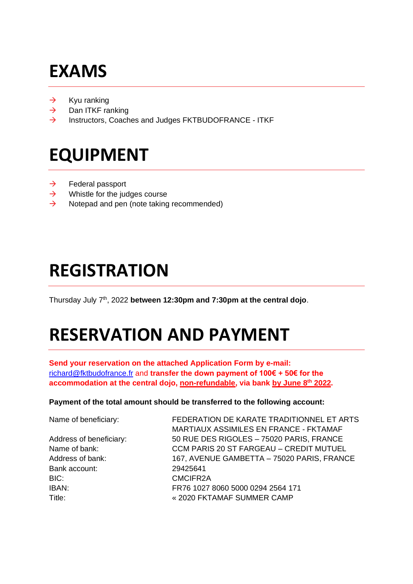# **EXAMS**

- $\rightarrow$  Kyu ranking
- $\rightarrow$  Dan ITKF ranking
- → Instructors, Coaches and Judges FKTBUDOFRANCE ITKF

## **EQUIPMENT**

- $\rightarrow$  Federal passport
- $\rightarrow$  Whistle for the judges course
- $\rightarrow$  Notepad and pen (note taking recommended)

### **REGISTRATION**

Thursday July 7 th, 2022 **between 12:30pm and 7:30pm at the central dojo**.

# **RESERVATION AND PAYMENT**

**Send your reservation on the attached Application Form by e-mail:** richard@fktbudofrance.fr and **transfer the down payment of 100€ + 50€ for the accommodation at the central dojo, non-refundable, via bank by June 8th 2022.**

#### **Payment of the total amount should be transferred to the following account:**

| Name of beneficiary:    | FEDERATION DE KARATE TRADITIONNEL ET ARTS      |  |
|-------------------------|------------------------------------------------|--|
|                         | MARTIAUX ASSIMILES EN FRANCE - FKTAMAF         |  |
| Address of beneficiary: | 50 RUE DES RIGOLES - 75020 PARIS, FRANCE       |  |
| Name of bank:           | <b>CCM PARIS 20 ST FARGEAU - CREDIT MUTUEL</b> |  |
| Address of bank:        | 167, AVENUE GAMBETTA - 75020 PARIS, FRANCE     |  |
| Bank account:           | 29425641                                       |  |
| BIC:                    | CMCIFR2A                                       |  |
| IBAN:                   | FR76 1027 8060 5000 0294 2564 171              |  |
| Title:                  | « 2020 FKTAMAF SUMMER CAMP                     |  |
|                         |                                                |  |